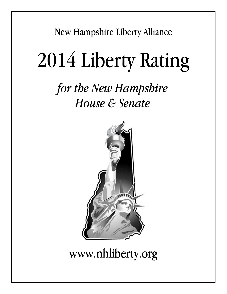New Hampshire Liberty Alliance

# 2014 Liberty Rating

# *for the New Hampshire House & Senate*



# www.nhliberty.org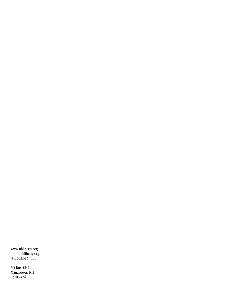www.nhliberty.org<br>info@nhliberty.org<br>+1.603.513.7180

PO Box 4241 Manchester, NH 03108-4241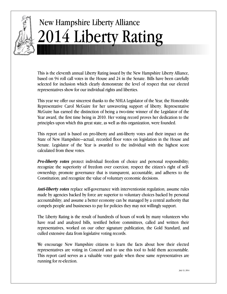

# **New Hampshire Liberty Alliance** 14 Liberty Rating

This is the eleventh annual Liberty Rating issued by the New Hampshire Liberty Alliance, based on 94 roll call votes in the House and 24 in the Senate. Bills have been carefully selected for inclusion which clearly demonstrate the level of respect that our elected representatives show for our individual rights and liberties.

This year we offer our sincerest thanks to the NHLA Legislator of the Year, the Honorable Representative Carol McGuire for her unwavering support of liberty. Representative McGuire has earned the distinction of being a two-time winner of the Legislator of the Year award, the first time being in 2010. Her voting record proves her dedication to the principles upon which this great state, as well as this organization, were founded.

This report card is based on pro-liberty and anti-liberty votes and their impact on the State of New Hampshire—actual, recorded floor votes on legislation in the House and Senate. Legislator of the Year is awarded to the individual with the highest score calculated from these votes.

**Pro-liberty votes** protect individual freedom of choice and personal responsibility; recognize the superiority of freedom over coercion; respect the citizen's right of selfownership; promote governance that is transparent, accountable, and adheres to the Constitution; and recognize the value of voluntary economic decisions.

**Anti-liberty votes** replace self-governance with interventionist regulation; assume rules made by agencies backed by force are superior to voluntary choices backed by personal accountability; and assume a better economy can be managed by a central authority that compels people and businesses to pay for policies they may not willingly support.

The Liberty Rating is the result of hundreds of hours of work by many volunteers who have read and analyzed bills, testified before committees, called and written their representatives, worked on our other signature publication, the Gold Standard, and culled extensive data from legislative voting records.

We encourage New Hampshire citizens to learn the facts about how their elected representatives are voting in Concord and to use this tool to hold them accountable. This report card serves as a valuable voter guide when these same representatives are running for re-election.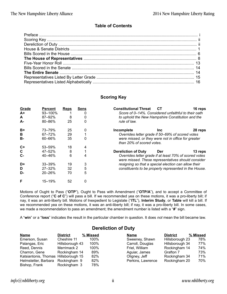#### **Table of Contents**

#### **Scoring Key**

| Grade       | <b>Percent</b> | <b>Reps</b> | Sens | <b>Constitutional Threat</b><br>CТ<br>16 reps                                                                |
|-------------|----------------|-------------|------|--------------------------------------------------------------------------------------------------------------|
| $A+$        | 93-100%        |             |      | Score of 0-14%. Considered unfaithful to their oath                                                          |
| A           | 87-92%         | 8           | 0    | to uphold the New Hampshire Constitution and the                                                             |
| A-          | 80-86%         | 25          | 0    | rule of law.                                                                                                 |
| $B+$        | 73-79%         | 25          | 0    | Incomplete<br>28 reps<br><b>Inc</b>                                                                          |
| в           | 67-72%         | 29          |      | Overrides letter grade if 50–69% of scored votes                                                             |
| <b>B-</b>   | 60-66%         | 35          | 0    | were missed, or they were not in office for greater<br>than 20% of scored votes.                             |
| $C+$        | 53-59%         | 18          | 4    |                                                                                                              |
| $\mathbf c$ | 47-52%         | 8           |      | <b>Dereliction of Duty</b><br>Der<br>13 reps                                                                 |
| $C -$       | 40-46%         | 6           | 4    | Overrides letter grade if at least 70% of scored votes<br>were missed. These representatives should consider |
| D+          | 33-39%         | 19          | 3    | resigning so that a special election can allow their                                                         |
| D           | $27 - 32%$     | 32          | 5    | constituents to be properly represented in the House.                                                        |
| D-          | $20 - 26%$     | 70          | 5    |                                                                                                              |
| F           | 15-19%         | 52          | 0    |                                                                                                              |

Motions of Ought to Pass ("OTP"), Ought to Pass with Amendment ("OTP/A"), and to accept a Committee of Conference report ("C of C") will pass a bill. If we recommended yea on these motions, it was a pro-liberty bill; if nay, it was an anti-liberty bill. Motions of Inexpedient to Legislate ("ITL"), Interim Study, or Table will kill a bill. If we recommended yea on these motions, it was an anti-liberty bill; if nay, it was a pro-liberty bill. In some cases, we made a recommendation to pass an amendment; the amendment number is listed with a "#" sign.

A "win" or a "loss" indicates the result in the particular chamber in question. It does not mean the bill became law.

#### **Dereliction of Duty**

| <b>Name</b>                          | <b>District</b> | % Missed | Name              | <b>District</b> | % Missed |
|--------------------------------------|-----------------|----------|-------------------|-----------------|----------|
| Emerson, Susan                       | Cheshire 11     | 100%     | Sweeney, Shawn    | Hillsborough 23 | 78%      |
| Palangas, Eric                       | Hillsborough 43 | 100%     | Carroll, Douglas  | Hillsborough 34 | 77%      |
| Reed, Dennis                         | Merrimack 2     | 100%     | Friel, William    | Rockingham 14   | 74%      |
| Charron, Gene                        | Rockingham 14   | 89%      | Aguiar, James     | Grafton 7       | 73%      |
| Katsiantonis, Thomas Hillsborough 15 |                 | 82%      | Oligney, Jeff     | Rockingham 34   | 71%      |
| Helmstetter, Barbara                 | Rockingham 9    | 82%      | Perkins, Lawrence | Rockingham 20   | 70%      |
| Bishop, Frank                        | Rockingham 3    | 78%      |                   |                 |          |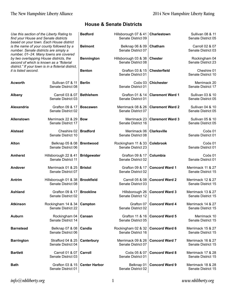|                      | Use this section of the Liberty Rating to<br>find your House and Senate districts                                                                                     | <b>Bedford</b>       | Hillsborough 07 & 41<br>Senate District 09 | Charlestown             | <b>Sullivan 08 &amp; 11</b><br>Senate District 05 |
|----------------------|-----------------------------------------------------------------------------------------------------------------------------------------------------------------------|----------------------|--------------------------------------------|-------------------------|---------------------------------------------------|
|                      | based on your town. Each House district<br>is the name of your county followed by a<br>number. Senate districts are simply a<br>number, 01-24. Many towns are covered | <b>Belmont</b>       | Belknap 06 & 09<br>Senate District 07      | Chatham                 | Carroll 02 & 07<br>Senate District 03             |
|                      | by two overlapping House districts, the<br>second of which is known as a "floterial<br>district." If your town is in a floterial district,                            | <b>Bennington</b>    | Hillsborough 03 & 38<br>Senate District 08 | <b>Chester</b>          | Rockingham 04<br>Senate District 23               |
| it is listed second. |                                                                                                                                                                       | <b>Benton</b>        | Grafton 03 & 15<br>Senate District 01      | <b>Chesterfield</b>     | Cheshire 01<br>Senate District 10                 |
| <b>Acworth</b>       | Sullivan 07 & 11<br>Senate District 08                                                                                                                                | <b>Berlin</b>        | Coös 03<br>Senate District 01              | <b>Chichester</b>       | Merrimack 20<br>Senate District 17                |
| Albany               | Carroll 03 & 07<br>Senate District 03                                                                                                                                 | <b>Bethlehem</b>     | Grafton 01 & 14<br>Senate District 01      | <b>Claremont Ward 1</b> | Sullivan 03 & 10<br>Senate District 05            |
| Alexandria           | Grafton 09 & 17<br>Senate District 02                                                                                                                                 | <b>Boscawen</b>      | Merrimack 08 & 26<br>Senate District 07    | <b>Claremont Ward 2</b> | Sullivan 04 & 10<br>Senate District 05            |
| Allenstown           | Merrimack 22 & 29<br>Senate District 17                                                                                                                               | <b>Bow</b>           | Merrimack 23<br>Senate District 16         | <b>Claremont Ward 3</b> | Sullivan 05 & 10<br>Senate District 05            |
| <b>Alstead</b>       | Cheshire 02<br>Senate District 10                                                                                                                                     | <b>Bradford</b>      | Merrimack 06<br>Senate District 08         | <b>Clarksville</b>      | Coös 01<br>Senate District 01                     |
| Alton                | Belknap 05 & 08<br>Senate District 06                                                                                                                                 | <b>Brentwood</b>     | Rockingham 11 & 33<br>Senate District 23   | <b>Colebrook</b>        | Coös 01<br>Senate District 01                     |
| <b>Amherst</b>       | Hillsborough 22 & 41<br>Senate District 11                                                                                                                            | <b>Bridgewater</b>   | Grafton 09 & 17<br>Senate District 02      | Columbia                | Coös 01<br>Senate District 01                     |
| Andover              | Merrimack 01 & 25<br>Senate District 07                                                                                                                               | <b>Bristol</b>       | Grafton 09 & 17<br>Senate District 02      | <b>Concord Ward 1</b>   | Merrimack 11 & 27<br>Senate District 15           |
| Antrim               | Hillsborough 01 & 38<br>Senate District 08                                                                                                                            | <b>Brookfield</b>    | Carroll 05 & 08<br>Senate District 03      | <b>Concord Ward 2</b>   | Merrimack 12 & 27<br>Senate District 15           |
| <b>Ashland</b>       | Grafton 09 & 17<br>Senate District 02                                                                                                                                 | <b>Brookline</b>     | Hillsborough 26<br>Senate District 12      | <b>Concord Ward 3</b>   | Merrimack 13 & 27<br>Senate District 15           |
| <b>Atkinson</b>      | Rockingham 14 & 34<br>Senate District 22                                                                                                                              | Campton              | Grafton 07<br>Senate District 02           | <b>Concord Ward 4</b>   | Merrimack 14 & 27<br>Senate District 15           |
| Auburn               | Rockingham 04<br>Senate District 14                                                                                                                                   | Canaan               | Grafton 11 & 16<br>Senate District 05      | <b>Concord Ward 5</b>   | Merrimack 10<br>Senate District 15                |
| <b>Barnstead</b>     | Belknap 07 & 08<br>Senate District 06                                                                                                                                 | Candia               | Rockingham 02 & 32<br>Senate District 16   | <b>Concord Ward 6</b>   | Merrimack 15 & 27<br>Senate District 15           |
| <b>Barrington</b>    | Strafford 04 & 25<br>Senate District 04                                                                                                                               | Canterbury           | Merrimack 09 & 26<br>Senate District 07    | <b>Concord Ward 7</b>   | Merrimack 16 & 27<br>Senate District 15           |
| <b>Bartlett</b>      | Carroll 01 & 07<br>Senate District 03                                                                                                                                 | Carroll              | Coös 05 & 07<br>Senate District 01         | <b>Concord Ward 8</b>   | Merrimack 17 & 28<br>Senate District 15           |
| <b>Bath</b>          | Grafton 03 & 15<br>Senate District 01                                                                                                                                 | <b>Center Harbor</b> | Belknap 01<br>Senate District 02           | <b>Concord Ward 9</b>   | Merrimack 18 & 28<br>Senate District 15           |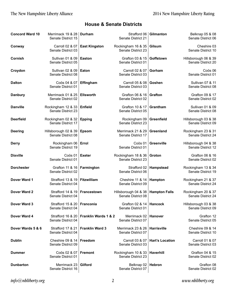| <b>Concord Ward 10</b> | Merrimack 19 & 28   Durham<br>Senate District 15 |                                 | Strafford 06<br>Senate District 21         | Gilmanton              | Belknap 05 & 08<br>Senate District 06             |
|------------------------|--------------------------------------------------|---------------------------------|--------------------------------------------|------------------------|---------------------------------------------------|
| Conway                 | Carroll 02 & 07<br>Senate District 03            | <b>East Kingston</b>            | Rockingham 16 & 35<br>Senate District 23   | Gilsum                 | Cheshire 03<br>Senate District 10                 |
| Cornish                | Sullivan 01 & 09<br>Senate District 05           | <b>Easton</b>                   | Grafton 03 & 15<br>Senate District 01      | Goffstown              | Hillsborough 06 & 39<br>Senate District 20        |
| Croydon                | Sullivan 02 & 09<br>Senate District 08           | Eaton                           | Carroll 02 & 07<br>Senate District 03      | Gorham                 | Coös 06<br>Senate District 01                     |
| <b>Dalton</b>          | Coös 04 & 07<br>Senate District 01               | Effingham                       | Carroll 05 & 08<br>Senate District 03      | <b>Goshen</b>          | Sullivan 07 & 11<br>Senate District 08            |
| <b>Danbury</b>         | Merrimack 01 & 25<br>Senate District 02          | <b>Ellsworth</b>                | Grafton 06 & 16<br>Senate District 02      | <b>Grafton</b>         | Grafton 09 & 17<br>Senate District 02             |
| <b>Danville</b>        | Rockingham 12 & 33<br>Senate District 23         | <b>Enfield</b>                  | Grafton 10 & 17<br>Senate District 05      | Grantham               | Sullivan 01 & 09<br>Senate District 08            |
| <b>Deerfield</b>       | Rockingham 02 & 32<br>Senate District 17         | <b>Epping</b>                   | Rockingham 09<br>Senate District 23        | Greenfield             | Hillsborough 03 & 38<br>Senate District 09        |
| <b>Deering</b>         | Hillsborough 02 & 39<br>Senate District 08       | <b>Epsom</b>                    | Merrimack 21 & 29<br>Senate District 17    | Greenland              | Rockingham 23 & 31<br>Senate District 24          |
| <b>Derry</b>           | Rockingham 06<br>Senate District 19              | Errol                           | Coös 01<br>Senate District 01              | Greenville             | Hillsborough 04 & 38<br>Senate District 12        |
| <b>Dixville</b>        | Coös 01<br>Senate District 01                    | <b>Exeter</b>                   | Rockingham 18 & 36<br>Senate District 23   | Groton                 | Grafton 06 & 16<br>Senate District 02             |
| <b>Dorchester</b>      | Grafton 11 & 16<br>Senate District 02            | Farmington                      | Strafford 02<br>Senate District 06         | Hampstead              | Rockingham 13 & 34<br>Senate District 19          |
| Dover Ward 1           | Strafford 13 & 19<br>Senate District 04          | Fitzwilliam                     | Cheshire 11 & 14<br>Senate District 09     | Hampton                | Rockingham 21 & 37<br>Senate District 24          |
| Dover Ward 2           | Strafford 14 & 19<br>Senate District 04          | Francestown                     | Hillsborough 04 & 38<br>Senate District 08 | <b>Hampton Falls</b>   | Rockingham 20 & 37<br>Senate District 24          |
| Dover Ward 3           | Strafford 15 & 20<br>Senate District 04          | <b>Franconia</b>                | Grafton 02 & 14<br>Senate District 01      | Hancock                | Hillsborough 03 & 38<br>Senate District 09        |
| Dover Ward 4           | Strafford 16 & 20<br>Senate District 04          | <b>Franklin Wards 1 &amp; 2</b> | Merrimack 02<br>Senate District 07         | <b>Hanover</b>         | Grafton 12<br>Senate District 05                  |
| Dover Wards 5 & 6      | Strafford 17 & 21<br>Senate District 04          | <b>Franklin Ward 3</b>          | Merrimack 23 & 26<br>Senate District 07    | <b>Harrisville</b>     | <b>Cheshire 09 &amp; 14</b><br>Senate District 10 |
| <b>Dublin</b>          | Cheshire 09 & 14<br>Senate District 09           | Freedom                         | Carroll 03 & 07<br>Senate District 03      | <b>Hart's Location</b> | Carroll 01 & 07<br>Senate District 03             |
| <b>Dummer</b>          | Coos 02 & 07<br>Senate District 01               | <b>Fremont</b>                  | Rockingham 10 & 33<br>Senate District 23   | Haverhill              | Grafton 04 & 15<br>Senate District 02             |
| <b>Dunbarton</b>       | Merrimack 23<br>Senate District 16               | Gilford                         | Belknap 02<br>Senate District 07           | <b>Hebron</b>          | Grafton 08<br>Senate District 02                  |

 $info@nbliberty.org$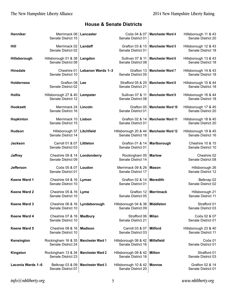| Henniker            | Merrimack 06<br>Senate District 15         | Lancaster                | Coös 04 & 07<br>Senate District 01         | Manchester Ward 4         | Hillsborough 11 & 43<br>Senate District 20 |
|---------------------|--------------------------------------------|--------------------------|--------------------------------------------|---------------------------|--------------------------------------------|
| Hill                | Merrimack 02<br>Senate District 02         | Landaff                  | Grafton 03 & 15<br>Senate District 01      | <b>Manchester Ward 5</b>  | Hillsborough 12 & 43<br>Senate District 18 |
| Hillsborough        | Hillsborough 01 & 38<br>Senate District 08 | Langdon                  | Sullivan 07 & 11<br>Senate District 08     | <b>Manchester Ward 6</b>  | Hillsborough 13 & 43<br>Senate District 18 |
| <b>Hinsdale</b>     | Cheshire 01<br>Senate District 10          | Lebanon Wards 1-3        | Grafton 13<br>Senate District 05           | <b>Manchester Ward 7</b>  | Hillsborough 14 & 43<br>Senate District 18 |
| <b>Holderness</b>   | Grafton 08<br>Senate District 02           | Lee                      | Strafford 05 & 25<br>Senate District 21    | <b>Manchester Ward 8</b>  | Hillsborough 15 & 44<br>Senate District 18 |
| <b>Hollis</b>       | Hillsborough 27 & 40<br>Senate District 12 | Lempster                 | Sullivan 07 & 11<br>Senate District 08     | <b>Manchester Ward 9</b>  | Hillsborough 16 & 44<br>Senate District 18 |
| <b>Hooksett</b>     | Merrimack 24<br>Senate District 16         | Lincoln                  | Grafton 05<br>Senate District 01           | <b>Manchester Ward 10</b> | Hillsborough 17 & 45<br>Senate District 20 |
| Hopkinton           | Merrimack 10<br>Senate District 15         | Lisbon                   | Grafton 02 & 14<br>Senate District 01      | <b>Manchester Ward 11</b> | Hillsborough 18 & 45<br>Senate District 20 |
| <b>Hudson</b>       | Hillsborough 37<br>Senate District 14      | Litchfield               | Hillsborough 20 & 44<br>Senate District 18 | <b>Manchester Ward 12</b> | Hillsborough 19 & 45<br>Senate District 16 |
| <b>Jackson</b>      | Carroll 01 & 07<br>Senate District 03      | Littleton                | Grafton 01 & 14<br>Senate District 01      | Marlborough               | Cheshire 10 & 15<br>Senate District 10     |
| <b>Jaffrey</b>      | Cheshire 09 & 14<br>Senate District 09     | Londonderry              | Rockingham 05<br>Senate District 14        | <b>Marlow</b>             | Cheshire 02<br>Senate District 08          |
| <b>Jefferson</b>    | Coös 05 & 07<br>Senate District 01         | Loudon                   | Merrimack 09 & 26<br>Senate District 17    | <b>Mason</b>              | Hillsborough 26<br>Senate District 12      |
| <b>Keene Ward 1</b> | Cheshire 04 & 16<br>Senate District 10     | Lyman                    | Grafton 02 & 14<br>Senate District 01      | <b>Meredith</b>           | Belknap 02<br>Senate District 02           |
| Keene Ward 2        | Cheshire 05 & 16<br>Senate District 10     | Lyme                     | Grafton 12<br>Senate District 05           | <b>Merrimack</b>          | Hillsborough 21<br>Senate District 11      |
| <b>Keene Ward 3</b> | Cheshire 06 & 16<br>Senate District 10     | Lyndeborough             | Hillsborough 04 & 38<br>Senate District 09 | <b>Middleton</b>          | Strafford 01<br>Senate District 03         |
| <b>Keene Ward 4</b> | Cheshire 07 & 16<br>Senate District 10     | <b>Madbury</b>           | Strafford 06<br>Senate District 21         | <b>Milan</b>              | Coös 02 & 07<br>Senate District 01         |
| Keene Ward 5        | Cheshire 08 & 16<br>Senate District 10     | <b>Madison</b>           | Carroll 03 & 07<br>Senate District 03      | <b>Milford</b>            | Hillsborough 23 & 40<br>Senate District 11 |
| Kensington          | Rockingham 16 & 35<br>Senate District 24   | <b>Manchester Ward 1</b> | Hillsborough 08 & 42<br>Senate District 16 | <b>Millsfield</b>         | Coös 01<br>Senate District 01              |
| Kingston            | Rockingham 13 & 34<br>Senate District 23   | <b>Manchester Ward 2</b> | Hillsborough 09 & 42<br>Senate District 16 | <b>Milton</b>             | Strafford 01<br>Senate District 03         |
| Laconia Wards 1-6   | Belknap 03 & 09<br>Senate District 07      | <b>Manchester Ward 3</b> | Hillsborough 10 & 42<br>Senate District 20 | <b>Monroe</b>             | Grafton 02 & 14<br>Senate District 01      |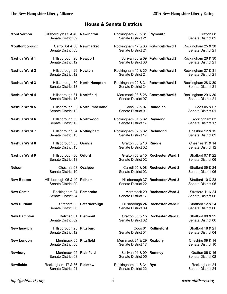| <b>Mont Vernon</b> | Hillsborough 05 & 40<br>Senate District 09 | <b>Newington</b>     | Rockingham 23 & 31<br>Senate District 21 | Plymouth                 | Grafton 08<br>Senate District 02         |
|--------------------|--------------------------------------------|----------------------|------------------------------------------|--------------------------|------------------------------------------|
| Moultonborough     | Carroll 04 & 08<br>Senate District 03      | <b>Newmarket</b>     | Rockingham 17 & 36<br>Senate District 21 | Portsmouth Ward 1        | Rockingham 25 & 30<br>Senate District 21 |
| Nashua Ward 1      | Hillsborough 28<br>Senate District 12      | <b>Newport</b>       | Sullivan 06 & 09<br>Senate District 08   | <b>Portsmouth Ward 2</b> | Rockingham 26 & 30<br>Senate District 21 |
| Nashua Ward 2      | Hillsborough 29<br>Senate District 12      | <b>Newton</b>        | Rockingham 15 & 35<br>Senate District 24 | <b>Portsmouth Ward 3</b> | Rockingham 27 & 31<br>Senate District 21 |
| Nashua Ward 3      | Hillsborough 30<br>Senate District 13      | <b>North Hampton</b> | Rockingham 22 & 31<br>Senate District 24 | Portsmouth Ward 4        | Rockingham 28 & 30<br>Senate District 21 |
| Nashua Ward 4      | Hillsborough 31<br>Senate District 13      | Northfield           | Merrimack 03 & 26<br>Senate District 07  | <b>Portsmouth Ward 5</b> | Rockingham 29 & 30<br>Senate District 21 |
| Nashua Ward 5      | Hillsborough 32<br>Senate District 12      | Northumberland       | Coös 02 & 07<br>Senate District 01       | Randolph                 | Coös 05 & 07<br>Senate District 01       |
| Nashua Ward 6      | Hillsborough 33<br>Senate District 13      | Northwood            | Rockingham 01 & 32<br>Senate District 17 | Raymond                  | Rockingham 03<br>Senate District 17      |
| Nashua Ward 7      | Hillsborough 34<br>Senate District 13      | Nottingham           | Rockingham 02 & 32<br>Senate District 17 | <b>Richmond</b>          | Cheshire 12 & 15<br>Senate District 09   |
| Nashua Ward 8      | Hillsborough 35<br>Senate District 13      | Orange               | Grafton 06 & 16<br>Senate District 02    | Rindge                   | Cheshire 11 & 14<br>Senate District 12   |
| Nashua Ward 9      | Hillsborough 36<br>Senate District 13      | Orford               | Grafton 03 & 15<br>Senate District 02    | <b>Rochester Ward 1</b>  | Strafford 07 & 22<br>Senate District 06  |
| <b>Nelson</b>      | Cheshire 03<br>Senate District 10          | <b>Ossipee</b>       | Carroll 05 & 08<br>Senate District 03    | <b>Rochester Ward 2</b>  | Strafford 09 & 24<br>Senate District 06  |
| <b>New Boston</b>  | Hillsborough 05 & 40<br>Senate District 09 | Pelham               | Hillsborough 37<br>Senate District 22    | <b>Rochester Ward 3</b>  | Strafford 10 & 23<br>Senate District 06  |
| <b>New Castle</b>  | Rockingham 24<br>Senate District 24        | Pembroke             | Merrimack 20<br>Senate District 17       | <b>Rochester Ward 4</b>  | Strafford 11 & 24<br>Senate District 06  |
| <b>New Durham</b>  | Strafford 03<br>Senate District 06         | Peterborough         | Hillsborough 24<br>Senate District 09    | <b>Rochester Ward 5</b>  | Strafford 12 & 24<br>Senate District 06  |
| <b>New Hampton</b> | Belknap 01<br>Senate District 02           | <b>Piermont</b>      | Grafton 03 & 15<br>Senate District 02    | <b>Rochester Ward 6</b>  | Strafford 08 & 22<br>Senate District 06  |
| <b>New Ipswich</b> | Hillsborough 25<br>Senate District 12      | <b>Pittsburg</b>     | Coös 01<br>Senate District 01            | Rollinsford              | Strafford 18 & 21<br>Senate District 04  |
| <b>New London</b>  | Merrimack 05<br>Senate District 08         | <b>Pittsfield</b>    | Merrimack 21 & 29<br>Senate District 17  | <b>Roxbury</b>           | Cheshire 09 & 14<br>Senate District 10   |
| <b>Newbury</b>     | Merrimack 05<br>Senate District 08         | <b>Plainfield</b>    | Sullivan 01 & 09<br>Senate District 05   | <b>Rumney</b>            | Grafton 06 & 16<br>Senate District 02    |
| <b>Newfields</b>   | Rockingham 17 & 36<br>Senate District 21   | <b>Plaistow</b>      | Rockingham 14 & 34<br>Senate District 22 | <b>Rye</b>               | Rockingham 24<br>Senate District 24      |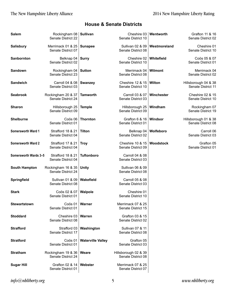| <b>Salem</b>          | Rockingham 08   Sullivan<br>Senate District 22 |                          | Cheshire 03<br>Senate District 10          | Wentworth      | Grafton 11 & 16<br>Senate District 02      |
|-----------------------|------------------------------------------------|--------------------------|--------------------------------------------|----------------|--------------------------------------------|
| <b>Salisbury</b>      | Merrimack 01 & 25<br>Senate District 07        | <b>Sunapee</b>           | Sullivan 02 & 09<br>Senate District 08     | Westmoreland   | Cheshire 01<br>Senate District 10          |
| Sanbornton            | Belknap 04<br>Senate District 02               | <b>Surry</b>             | Cheshire 02<br>Senate District 10          | Whitefield     | Coös 05 & 07<br>Senate District 01         |
| Sandown               | Rockingham 04<br>Senate District 23            | <b>Sutton</b>            | Merrimack 04<br>Senate District 08         | <b>Wilmont</b> | Merrimack 04<br>Senate District 02         |
| <b>Sandwich</b>       | Carroll 04 & 08<br>Senate District 03          | <b>Swanzey</b>           | Cheshire 12 & 15<br>Senate District 10     | <b>Wilton</b>  | Hillsborough 04 & 38<br>Senate District 11 |
| <b>Seabrook</b>       | Rockingham 20 & 37<br>Senate District 24       | <b>Tamworth</b>          | Carroll 03 & 07<br>Senate District 03      | Winchester     | Cheshire 02 & 15<br>Senate District 10     |
| <b>Sharon</b>         | Hillsborough 25<br>Senate District 09          | <b>Temple</b>            | Hillsborough 25<br>Senate District 09      | Windham        | Rockingham 07<br>Senate District 19        |
| <b>Shelburne</b>      | Coös 06<br>Senate District 01                  | <b>Thornton</b>          | Grafton 6 & 16<br>Senate District 01       | <b>Windsor</b> | Hillsborough 01 & 38<br>Senate District 08 |
| Somersworth Ward 1    | Strafford 18 & 21<br>Senate District 04        | Tilton                   | Belknap 04<br>Senate District 02           | Wolfeboro      | Carroll 06<br>Senate District 03           |
| Somersworth Ward 2    | Strafford 17 & 21<br>Senate District 04        | <b>Troy</b>              | Cheshire 10 & 15<br>Senate District 09     | Woodstock      | Grafton 05<br>Senate District 01           |
| Somersworth Wards 3-5 | Strafford 18 & 21<br>Senate District 04        | <b>Tuftonboro</b>        | Carroll 04 & 08<br>Senate District 03      |                |                                            |
| <b>South Hampton</b>  | Rockingham 16 & 35<br>Senate District 24       | <b>Unity</b>             | Sullivan 06 & 09<br>Senate District 08     |                |                                            |
| Springfield           | Sullivan 01 & 09<br>Senate District 08         | Wakefield                | Carroll 05 & 08<br>Senate District 03      |                |                                            |
| <b>Stark</b>          | Coös 02 & 07<br>Senate District 01             | Walpole                  | Cheshire 01<br>Senate District 10          |                |                                            |
| <b>Stewartstown</b>   | Coös 01<br>Senate District 01                  | Warner                   | Merrimack 07 & 25<br>Senate District 15    |                |                                            |
| <b>Stoddard</b>       | Cheshire 03<br>Senate District 08              | Warren                   | Grafton 03 & 15<br>Senate District 02      |                |                                            |
| <b>Strafford</b>      | Strafford 03<br>Senate District 17             | Washington               | Sullivan 07 & 11<br>Senate District 08     |                |                                            |
| <b>Stratford</b>      | Coös 01<br>Senate District 01                  | <b>Waterville Valley</b> | Grafton 05<br>Senate District 03           |                |                                            |
| <b>Stratham</b>       | Rockingham 19 & 36<br>Senate District 24       | Weare                    | Hillsborough 02 & 39<br>Senate District 08 |                |                                            |
| <b>Sugar Hill</b>     | Grafton 02 & 14<br>Senate District 01          | Webster                  | Merrimack 07 & 25<br>Senate District 07    |                |                                            |

 $info@nbliberty.org$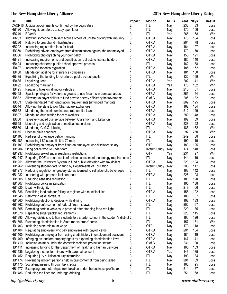# The New Hampshire Liberty Alliance

| <b>Bill</b>   | <b>Title</b>                                                                                  | <b>Impact</b>           | <b>Motion</b> | <b>NHLA</b> |     | Yeas Nays | <b>Result</b> |
|---------------|-----------------------------------------------------------------------------------------------|-------------------------|---------------|-------------|-----|-----------|---------------|
|               | CACR16 Judicial appointments confirmed by the Legislature                                     | 2                       | <b>ITL</b>    | Nay         | 233 | 83        | Loss          |
| HB120         | Allowing liquor stores to stay open later                                                     | 1                       | <b>ITL</b>    | Nay         | 170 | 156       | Loss          |
| HB249         | E-Verify                                                                                      | 3                       | ITL           | Yea         | 266 | 68        | Win           |
| HB263         | Allowing someone to falsely accuse others of unsafe driving with impunity                     | 3                       | OTP/A         | Nay         | 178 | 104       | Loss          |
| <b>HB286</b>  | Relative to broadband infrastructure                                                          | 2                       | OTP/A         | Nay         | 204 | 78        | Loss          |
| HB292         | Increasing registration fees for boats                                                        | $\mathbf{1}$            | OTP/A         | Nay         | 164 | 127       | Loss          |
| HB350         | Prohibiting private employers from discrimination against the unemployed                      | $\overline{\mathbf{c}}$ | OTP/A         | Nay         | 179 | 170       | Loss          |
| <b>HB366</b>  | Prohibiting photographing your own ballot                                                     | 3                       | OTP/A         | Nay         | 156 | 121       | Loss          |
| HB421         | Increasing requirements and penalties on real estate license holders                          |                         | OTP/A         | Nay         | 185 | 140       | Loss          |
| HB424         | Improving chartered public school approval process                                            | 1                       | ITL           | Nay         | 162 | 138       | Loss          |
| <b>HB427</b>  | Increasing tobacco regulation                                                                 | $\overline{c}$          | OTP/A         | Nay         | 185 | 152       | Loss          |
| HB430         | Mandatory labeling for insurance companies                                                    | 1                       | OTP/A         | Nay         | 181 | 150       | Loss          |
| HB435         | Equalizing the funding for chartered public school pupils.                                    | $\overline{c}$          | ITL           | Nay         | 132 | 169       | Win           |
| HB485         | Legalizing keno                                                                               | $\overline{c}$          | OTP/A         | Yea         | 202 | 141       | Win           |
| HB492         | Legalizing marijuana                                                                          | 3                       | OTP/A         | Yea         | 170 | 162       | Win           |
| HB495         | Requiring titles on all motor vehicles                                                        |                         | OTP/A         | Nay         | 218 | 61        | Loss          |
| <b>HB498</b>  | Special privileges for veterans groups to use firearms in compact areas                       | 1                       | OTP/A         | Nay         | 265 | 54        | Loss          |
| HB532         | Allowing taxpayer dollars to fund private energy efficiency improvements                      | $\overline{\mathbf{c}}$ | C of C        | Nay         | 205 | 132       | Loss          |
| HB533         | State-mandated math graduation requirements (unfunded mandate)                                | 1                       | OTP/A         | Nay         | 209 | 125       | Loss          |
| <b>HB544</b>  | Allowing the state to join Obamacare exchanges                                                | 3                       | OTP/A         | Nay         | 182 | 154       | Loss          |
| <b>HB562</b>  | Mandating the maximum interest rate on title loans                                            |                         | OTP/A         | Nay         | 212 | 129       | Loss          |
| <b>HB597</b>  | Mandating drug testing for care workers                                                       | 2                       | OTP/A         | Nay         | 289 | 48        | Loss          |
| <b>HB650</b>  | Taxpayer-funded bus service between Claremont and Lebanon                                     | 1                       | OTP/A         | Nay         | 192 | 89        | Loss          |
| <b>HB658</b>  | Licensing and registration of medical technicians                                             |                         | OTP/A         | Nay         | 228 | 92        | Loss          |
| <b>HB660</b>  | Mandating G.M.O. labeling                                                                     |                         | <b>ITL</b>    | Yea         | 185 | 162       | Win           |
| <b>HB675</b>  | License plate scanners                                                                        | 3                       | OTP/A         | Nay         | 97  | 250       | Win           |
| HB1165        | Redress of grievance petition funding                                                         | $\overline{2}$          | <b>ITL</b>    | Nay         | 249 | 88        | Loss          |
| HB1185        | Increasing I-89 speed limit to 70 mph                                                         | $\overline{2}$          | <b>ITL</b>    | Nay         | 199 | 119       | Loss          |
| <b>HB1188</b> | Prohibiting an employer from firing an employee who discloses salary                          | $\overline{\mathbf{c}}$ | <b>OTP</b>    | Nay         | 183 | 125       | Loss          |
| HB1204        | Firing police who lie under oath                                                              | $\overline{c}$          | Interim Study | Nay         | 174 | 148       | Loss          |
| HB1237        | Prohibiting sex-offender residency restrictions                                               | $\overline{2}$          | <b>OTP</b>    | Yea         | 231 | 97        | Win           |
| HB1247        | Requiring DOE to share costs of online assessment technology requirements 2                   |                         | <b>ITL</b>    | Nay         | 144 | 119       | Loss          |
|               | HB1251 Allowing the University System to fund public television with tax dollars              | 2                       | OTP/A         | Nay         | 223 | 104       | Loss          |
|               | HB1262 Preventing student data sharing by Departments of Education                            | 3                       | Interim Study | Nay         | 203 | 117       | Loss          |
| HB1277        | Reducing regulation of grocery stores licensed to sell alcoholic beverages                    | 2                       | ITL           | Nay         | 163 | 142       | Loss          |
| HB1282        | Interfering with propane fuel contracts                                                       |                         | OTP/A         | Nay         | 226 | 98        | Loss          |
|               | HB1305 Reducing asbestos regulation                                                           |                         | <b>ITL</b>    | Nay         | 180 | 120       | Loss          |
|               | HB1307 Prohibiting police militarization                                                      | 3                       | ITL           | Nay         | 195 | 138       | Loss          |
|               | HB1325 Death with dignity                                                                     | 3                       | ITL           | Nay         | 219 | 66        | Loss          |
|               | HB1336 Penalizing landlords for failing to register with municipalities                       |                         | OTP/A         | Nay         | 155 | 122       | Loss          |
|               | HB1345 Reforming asset forfeiture                                                             | 3                       | <b>ITL</b>    | Nay         | 188 | 87        | Loss          |
|               | HB1360 Prohibiting electronic devices while driving                                           | 3                       | OTP/A         | Nay         | 192 | 133       | Loss          |
|               | HB1362 Prohibiting enforcement of federal firearms laws                                       | $\overline{c}$          | ITL           | Nay         | 202 | 67        | Loss          |
|               | HB1365 Permitting certain vehicles to proceed after stopping for a red light                  |                         | <b>ITL</b>    | Nay         | 229 | 85        | Loss          |
|               | HB1378 Repealing sugar packet requirements                                                    |                         | <b>ITL</b>    | Nay         | 220 | 115       | Loss          |
|               | HB1393 Allowing districts to tuition students to a charter school in the student's district 2 |                         | <b>ITL</b>    | Nay         | 160 | 126       | Loss          |
|               | HB1396 Preventing discrimination in State run veterans' home                                  |                         | <b>ITL</b>    | Nay         | 157 | 181       | Win           |
| HB1403        | Instituting state minimum wage                                                                | 3                       | <b>OTP</b>    | Nay         | 173 | 118       | Loss          |
| HB1404        | Regulating employers who pay employees with payroll cards                                     |                         | OTP/A         | Nay         | 201 | 104       | Loss          |
| HB1405        | Prohibiting an employer from using credit history in employment decisions                     | 2                       | OTP/A         | Nay         | 184 | 119       | Loss          |
| HB1409        | Infringing on landlord property rights by expanding discrimination laws                       | 2                       | OTP/A         | Nay         | 147 | 141       | Loss          |
| HB1410        | Including animals under the domestic violence protection statute                              | 3                       | C of C        | Nay         | 231 | 90        | Loss          |
| HB1411        | Increasing funding for the Department of Health and Human Services                            | 2                       | OTP/A         | Nay         | 185 | 153       | Loss          |
| HB1436        | Legalizing alcohol for minors, with parental consent                                          | $\overline{2}$          | OTP/A         | Yea         | 143 | 185       | Loss          |
|               | HB1452 Requiring jury nullification jury instruction                                          | 3                       | <b>ITL</b>    | Nay         | 193 | 84        | Loss          |
|               | HB1474 Preventing indigent persons held in civil contempt from being jailed                   | $\overline{\mathbf{c}}$ | <b>ITL</b>    | Nay         | 201 | 69        | Loss          |
|               | HB1475 Social engineering through tax credits                                                 | $\overline{\mathbf{c}}$ | <b>ITL</b>    | Nay         | 165 | 95        | Loss          |
| HB1477        | Exempting proprietorships from taxation under the business profits tax                        |                         | <b>ITL</b>    | Nay         | 214 | 67        | Loss          |
| HB1486        | Reducing the fines for underage drinking                                                      | 3                       | ITL           | Nay         | 251 | 68        | Loss          |
|               |                                                                                               |                         |               |             |     |           |               |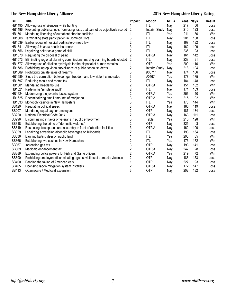# The New Hampshire Liberty Alliance

| <b>Bill</b>  | <b>Title</b>                                                                 | <b>Impact</b>           | <b>Motion</b> | <b>NHLA</b> |     | Yeas Nays | <b>Result</b> |
|--------------|------------------------------------------------------------------------------|-------------------------|---------------|-------------|-----|-----------|---------------|
| HB1495       | Allowing use of silencers while hunting                                      |                         | ITL           | Nay         | 217 | 56        | Loss          |
| HB1496       | Preventing public schools from using tests that cannot be objectively scored | 2                       | Interim Study | Nay         | 210 | 123       | Loss          |
| HB1501       | Mandating licensing of outpatient abortion facilities                        |                         | ITL           | Yea         | 211 | 86        | Win           |
| HB1508       | Terminating state participation in Common Core                               | 3                       | <b>ITL</b>    | Nay         | 201 | 138       | Loss          |
| HB1539       | Earlier repeal of hospital certificate-of-need law                           | $\overline{2}$          | <b>ITL</b>    | Nay         | 167 | 132       | Loss          |
| HB1541       | Allowing à la carte health insurance                                         | 3                       | <b>ITL</b>    | Nay         | 162 | 109       | Loss          |
| HB1556       | Legalizing poker as a game of skill                                          | $\overline{2}$          | <b>ITL</b>    | Nay         | 236 | 23        | Loss          |
| HB1570       | Regulating the disposal of paint                                             | $\overline{2}$          | OTP/A         | Nay         | 161 | 142       | Loss          |
| HB1573       | Eliminating regional planning commissions; making planning boards elected    | 2                       | ITL           | Nay         | 238 | 91        | Loss          |
| HB1577       | Allowing use of alkaline hydrolysis for the disposal of human remains        | 1                       | <b>OTP</b>    | Yea         | 209 | 116       | Win           |
| HB1586       | Prohibiting laptop video surveillance of public school students              | $\overline{c}$          | Interim Study | Nay         | 218 | 104       | Loss          |
| HB1589       | Prohibiting private sales of firearms                                        | 3                       | #0371h        | Nay         | 174 | 166       | Loss          |
| HB1589       | Study the correlation between gun freedom and low violent crime rates        | 3                       | #0467h        | Yea         | 177 | 175       | Win           |
| HB1597       | Reducing meals and rooms tax                                                 | $\overline{c}$          | <b>ITL</b>    | Nay         | 184 | 148       | Loss          |
| HB1601       | Mandating headlamp use                                                       | $\overline{c}$          | OTP/A         | Nay         | 151 | 182       | Win           |
| HB1621       | Redefining "simple assault"                                                  | $\overline{\mathbf{c}}$ | <b>ITL</b>    | Nay         | 171 | 103       | Loss          |
| HB1624       | Modernizing the juvenile justice system                                      | $\sqrt{2}$              | OTP/A         | Yea         | 256 | 40        | Win           |
| HB1625       | Decriminalizing small amounts of marijuana                                   | 3                       | OTP/A         | Yea         | 215 | 92        | Win           |
| HB1633       | Monopoly casinos in New Hampshire                                            | 3                       | <b>ITL</b>    | Yea         | 173 | 144       | Win           |
| SB120        | Regulating political speech                                                  | 3                       | OTP/A         | Nay         | 186 | 119       | Loss          |
| <b>SB207</b> | Mandating equal pay for employees                                            | $\overline{c}$          | OTP           | Nay         | 187 | 134       | Loss          |
| <b>SB220</b> | National Electrical Code 2014                                                | $\overline{\mathbf{c}}$ | OTP/A         | Nay         | 163 | 111       | Loss          |
| <b>SB296</b> | Discriminating in favor of veterans in public employment                     | 3                       | Table         | Yea         | 210 | 128       | Win           |
| <b>SB318</b> | Establishing the crime of "domestic violence"                                | $\overline{2}$          | <b>OTP</b>    | Nay         | 325 | 3         | Loss          |
| SB319        | Restricting free speech and assembly in front of abortion facilities         | 3                       | OTP/A         | Nay         | 162 | 100       | Loss          |
| SB329        | Legalizing advertising alcoholic beverages on billboards                     | $\overline{2}$          | ITL           | Nay         | 193 | 164       | Loss          |
| SB336        | Banning baiting deer on public land                                          |                         | <b>ITL</b>    | Yea         | 200 | 85        | Win           |
| SB366        | Establishing two casinos in New Hampshire                                    | $\overline{c}$          | <b>ITL</b>    | Yea         | 173 | 172       | Win           |
| SB367        | Increasing gas tax                                                           | 3                       | <b>OTP</b>    | Nay         | 193 | 141       | Loss          |
| SB369        | Medicaid enhancement tax                                                     | $\overline{2}$          | OTP/A         | Nay         | 247 | 28        | Loss          |
| SB389        | Expanding police powers for Fish and Game officers                           | $\overline{2}$          | OTP/A         | Yea         | 219 | 72        | Win           |
| SB390        | Prohibiting employers discriminating against victims of domestic violence    | $\overline{c}$          | <b>OTP</b>    | Nay         | 186 | 153       | Loss          |
| SB400        | Banning the taking of American eels                                          | 1                       | <b>OTP</b>    | Nay         | 227 | 93        | Loss          |
| SB405        | Licensing radon mitigation system installers                                 | $\boldsymbol{2}$        | OTP/A         | Nay         | 172 | 147       | Loss          |
| SB413        | Obamacare / Medicaid expansion                                               | 3                       | <b>OTP</b>    | Nay         | 202 | 132       | Loss          |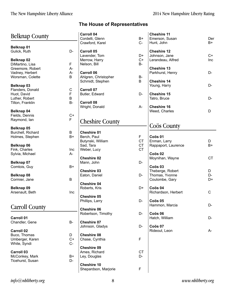| <b>Belknap County</b> |             | <b>Carroll 04</b><br>Cordelli, Glenn | $B+$        | <b>Cheshire 11</b><br>Emerson, Susan | Der       |
|-----------------------|-------------|--------------------------------------|-------------|--------------------------------------|-----------|
|                       |             | Crawford, Karel                      | $C-$        | Hunt, John                           | $B+$      |
| <b>Belknap 01</b>     |             |                                      |             |                                      |           |
| Gulick, Ruth          | D-          | <b>Carroll 05</b>                    |             | <b>Cheshire 12</b>                   |           |
|                       |             | Lavender, Tom                        | D+          | Johnson, Jane                        | $C+$      |
| Belknap 02            |             | Merrow, Harry                        | $C+$        | Lerandeau, Alfred                    | Inc       |
| DiMartino, Lisa       | F.          | Nelson, Bill                         | <b>B-</b>   |                                      |           |
| Greemore, Robert      | A-          |                                      |             | <b>Cheshire 13</b>                   |           |
| Vadney, Herbert       | A-          | <b>Carroll 06</b>                    |             | Parkhurst, Henry                     | D-        |
| Worsman, Colette      | B           | Ahlgren, Christopher                 | <b>B-</b>   |                                      |           |
|                       |             | Schmidt, Stephen                     | B           | <b>Cheshire 14</b>                   |           |
| Belknap 03            |             |                                      |             | Young, Harry                         | D-        |
| Flanders, Donald      | С           | <b>Carroll 07</b>                    |             |                                      |           |
| Huot, David           | F           | Butler, Edward                       | D-          | <b>Cheshire 15</b>                   |           |
| Luther, Robert        | B           |                                      |             | Tatro, Bruce                         | D-        |
|                       | <b>B-</b>   | <b>Carroll 08</b>                    |             |                                      |           |
| Tilton, Franklin      |             |                                      |             | <b>Cheshire 16</b>                   |           |
|                       |             | Wright, Donald                       | A-          |                                      |           |
| Belknap 04            |             |                                      |             | Weed, Charles                        | D         |
| Fields, Dennis        | $C+$        |                                      |             |                                      |           |
| Raymond, Ian          | $\mathsf F$ | <b>Cheshire County</b>               |             |                                      |           |
|                       |             |                                      |             | Coös County                          |           |
| Belknap 05            |             |                                      |             |                                      |           |
| Burchell, Richard     | B           | <b>Cheshire 01</b>                   |             |                                      |           |
| Holmes, Stephen       | B+          | Berch, Paul                          | F           | Coös 01                              |           |
|                       |             | Butynski, William                    | <b>CT</b>   | Enman, Larry                         | D         |
| Belknap 06            |             | Sad, Tara                            | <b>CT</b>   | Rappaport, Laurence                  | $B+$      |
| Fink, Charles         | Inc         | Weber, Lucy                          | <b>CT</b>   |                                      |           |
| Sylvia, Michael       | A-          |                                      |             | Coös <sub>02</sub>                   |           |
|                       |             | <b>Cheshire 02</b>                   |             | Moynihan, Wayne                      | <b>CT</b> |
| Belknap 07            |             | Mann, John                           | D-          |                                      |           |
| Comtois, Guy          | B+          |                                      |             | Coös <sub>03</sub>                   |           |
|                       |             | <b>Cheshire 03</b>                   |             | Theberge, Robert                     | D         |
| Belknap 08            |             | Eaton, Daniel                        | D-          | Thomas, Yvonne                       | D-        |
| Cormier, Jane         | B           |                                      |             | Coulombe, Gary                       | D+        |
|                       |             | <b>Cheshire 04</b>                   |             |                                      |           |
| Belknap 09            |             | Roberts, Kris                        | D+          | Coös 04                              |           |
| Arsenault, Beth       | Inc         |                                      |             | Richardson, Herbert                  | C         |
|                       |             | <b>Cheshire 05</b>                   |             |                                      |           |
|                       |             | Phillips, Larry                      | D-          | Coös 05                              |           |
|                       |             |                                      |             | Hammon, Marcia                       | D-        |
| <b>Carroll County</b> |             | <b>Cheshire 06</b>                   |             |                                      |           |
|                       |             |                                      | D-          | Coös 06                              |           |
|                       |             | Robertson, Timothy                   |             |                                      |           |
| <b>Carroll 01</b>     |             |                                      |             | Hatch, William                       | D-        |
| Chandler, Gene        | <b>B-</b>   | <b>Cheshire 07</b>                   |             |                                      |           |
|                       |             | Johnson, Gladys                      | D-          | Coös 07                              |           |
| <b>Carroll 02</b>     |             |                                      |             | Rideout, Leon                        | A-        |
| Buco, Thomas          | D           | <b>Cheshire 08</b>                   |             |                                      |           |
| Umberger, Karen       | $C+$        | Chase, Cynthia                       | $\mathsf F$ |                                      |           |
| White, Syndi          | $C -$       |                                      |             |                                      |           |
|                       |             | <b>Cheshire 09</b>                   |             |                                      |           |
| <b>Carroll 03</b>     |             | Ames, Richard                        | <b>CT</b>   |                                      |           |
| McConkey, Mark        | B+          | Ley, Douglas                         | D-          |                                      |           |
| Ticehurst, Susan      | D-          |                                      |             |                                      |           |
|                       |             | <b>Cheshire 10</b>                   |             |                                      |           |
|                       |             | Shepardson, Marjorie                 | $\mathsf F$ |                                      |           |
|                       |             |                                      |             |                                      |           |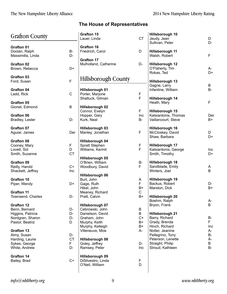| <b>Grafton County</b>                                    |                      | Grafton 15<br>Lauer, Linda                         | <b>CT</b>         | Hillsborough 10<br>Jeudy, Jean                            | D<br>D-                |
|----------------------------------------------------------|----------------------|----------------------------------------------------|-------------------|-----------------------------------------------------------|------------------------|
| <b>Grafton 01</b><br>Doolan, Ralph                       | B-                   | <b>Grafton 16</b><br>Friedrich, Carol              | D                 | Sullivan, Peter<br>Hillsborough 11                        |                        |
| Massimilla, Linda                                        | D-                   | <b>Grafton 17</b>                                  |                   | Walsh, Robert                                             | F                      |
| <b>Grafton 02</b><br>Brown, Rebecca                      | D+                   | Mulholland, Catherine                              | D-                | Hillsborough 12<br>O'Flaherty, Tim<br>Rokas, Ted          | A-<br>D+               |
| <b>Grafton 03</b><br>Ford, Susan                         | $\overline{F}$       | <b>Hillsborough County</b>                         |                   | Hillsborough 13                                           |                        |
| <b>Grafton 04</b><br>Ladd, Rick                          | $\mathsf C$          | Hillsborough 01<br>Porter, Marjorie                | $\mathsf F$       | Gagne, Larry<br>Infantine, William                        | B<br>$B-$              |
| <b>Grafton 05</b>                                        |                      | Shattuck, Gilman                                   | F                 | Hillsborough 14<br>Heath, Mary                            | F                      |
| Gionet, Edmond                                           | $\sf B$              | Hillsborough 02<br>Connor, Evelyn                  | F                 | Hillsborough 15                                           |                        |
| Grafton 06<br>Bradley, Lester                            | D-                   | Hopper, Gary<br>Kurk, Neal                         | Inc<br>B-         | Katsiantonis, Thomas<br>Vaillancourt, Steve               | Der<br>B+              |
| <b>Grafton 07</b><br>Aguiar, James                       | Der                  | Hillsborough 03<br>Manley, Jonathan                | F                 | Hillsborough 16<br>McCloskey, David<br>Shaw, Barbara      | D<br>D+                |
| <b>Grafton 08</b><br>Cooney, Mary                        | F                    | Hillsborough 04<br>Spratt Stephen                  | F                 | Hillsborough 17                                           |                        |
| Lovett, Sid<br>Smith, Suzanne                            | D<br><b>CT</b>       | Williams, Kermit                                   | F                 | Katsiantonis, George<br>Smith, Timothy                    | Inc<br>D+              |
| <b>Grafton 09</b>                                        |                      | Hillsborough 05<br>O'Brien, William                | В-                | <b>Hillsborough 18</b>                                    |                        |
| Reilly, Harold<br>Shackett, Jeffrey                      | $C+$<br>Inc          | Woodbury, David                                    | F                 | Sandblade, Emily<br>Winters, Joel                         | A<br>B                 |
| Grafton 10                                               | D+                   | Hillsborough 06<br>Burt, John                      | A<br>F            | Hillsborough 19<br>Backus, Robert                         |                        |
| Piper, Wendy<br><b>Grafton 11</b>                        |                      | Gage, Ruth<br>Hikel, John<br>Meaney, Richard       | B+<br>$\mathsf C$ | Marston, Dick                                             | D-<br>$B+$             |
| Townsend, Charles                                        | D-                   | Pratt, Calvin                                      | B+                | Hillsborough 20<br>Boehm, Ralph                           | A-                     |
| <b>Grafton 12</b><br>Benn, Bernard                       | D-                   | Hillsborough 07<br>Cebrowski, John                 | B                 | Bryon, Frank                                              | B                      |
| Higgins, Patricia<br>Nordgren, Sharon<br>Pastor, Beatriz | D-<br>D-<br>D        | Danielson, David<br>Graham, John<br>Murphy, Keith  | B<br>$C+$<br>B+   | Hillsborough 21<br>Barry, Richard<br>Grady, Brenda        | <b>B-</b><br>F.        |
| <b>Grafton 13</b><br>Almy, Susan                         | D-                   | Murphy, Kelleigh<br>Villeneuve, Moe                | B+<br>A-          | Hinch, Richard<br>Notter, Jeanine<br>Pellegrino, Tony     | Inc<br>A-<br><b>B-</b> |
| Harding, Laurie<br>Sykes, George<br>White, Andrew        | <b>CT</b><br>F<br>D- | Hillsborough 08<br>Goley, Jeffrey<br>Ramsey, Peter | D-<br>Inc         | Peterson, Lenette<br>Straight, Philip<br>Stroud, Kathleen | A-<br>B<br>$B -$       |
| <b>Grafton 14</b>                                        |                      | Hillsborough 09                                    |                   |                                                           |                        |
| Bailey, Brad                                             | $C+$                 | DiSilvestro, Linda<br>O'Neil, William              | F<br>D            |                                                           |                        |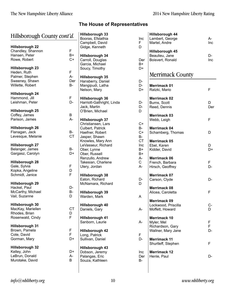# $\overline{\phantom{a}}$

#### The House of Representatives

 $D-$ 

| Hillsborough County <i>cont'd</i> .                                                            | <b>Hillsborough 33</b><br>Booras, Efstathia |                                                                                                    |  |  |
|------------------------------------------------------------------------------------------------|---------------------------------------------|----------------------------------------------------------------------------------------------------|--|--|
| <b>Hillsborough 22</b><br>Chandley, Shannon<br>Hansen, Peter<br>Rowe, Robert                   | F<br>B+<br>C+                               | Campbell, David<br>Gidge, Kenneth<br><b>Hillsborough 34</b><br>Carroll, Douglas<br>Garcia, Michael |  |  |
| <b>Hillsborough 23</b><br>Heden, Ruth<br>Palmer, Stephen<br>Sweeney, Shawn<br>Willette, Robert | F<br>А-<br>Der<br>B-                        | Soucy, Timothy<br>Hillsborough 35<br>Hansberry, Daniel<br>Mangipudi, Latha<br>Nelson, Mary         |  |  |
| <b>Hillsborough 24</b><br>Hammond, Jill<br>Leishman, Peter<br>Hillsborough 25                  | F<br>D-                                     | <b>Hillsborough 36</b><br>Harriott-Gathright, Linda<br>Jack, Martin<br>O'Brien, Michael            |  |  |
| Coffey, James<br>Parison, James                                                                | В<br>А-                                     | <b>Hillsborough 37</b><br>Christiansen, Lars                                                       |  |  |
| Hillsborough 26<br>Flanagan, Jack<br>Levesque, Melanie                                         | B-<br><b>CT</b>                             | Culbert, Patrick<br>Haefner, Robert<br>Jasper, Shawn<br>Knowles, Mary Ann                          |  |  |
| <b>Hillsborough 27</b><br>Belanger, James<br>Gargasz, Carolyn                                  | B-<br>D+                                    | LeVasseur, Richard<br>Ober, Lynne<br>Ober, Russell<br>Renzullo, Andrew                             |  |  |
| <b>Hillsborough 28</b><br>Gale, Sylvia<br>Kopka, Angeline<br>Schmidt, Janice                   | F<br>D<br>F                                 | Takesian, Charlene<br>Ulery, Jordan<br><b>Hillsborough 38</b>                                      |  |  |
| Hillsborough 29<br>Hackel, Paul<br>McCarthy, Michael                                           | D-<br>B-                                    | Eaton, Richard<br>McNamara, Richard<br><b>Hillsborough 39</b>                                      |  |  |
| Vail, Suzanne<br>Hillsborough 30<br>MacKay, Mariellen<br>Rhodes, Brian                         | D<br><b>CT</b><br>D                         | Warden, Mark<br>Hillsborough 40<br>Daniels, Gary                                                   |  |  |
| Rosenwald, Cindy<br>Hillsborough 31                                                            | F                                           | <b>Hillsborough 41</b><br>Sanborn, Laurie                                                          |  |  |
| Brown, Pamela<br>Cote, David<br>Gorman, Mary                                                   | F<br>F<br>D+                                | Hillsborough 42<br>Long, Patrick<br>Sullivan, Daniel                                               |  |  |
| <b>Hillsborough 32</b><br>Kelley, John<br>LeBrun, Donald<br>Murotake, David                    | D+<br>А-<br>B                               | Hillsborough 43<br>Dobson, Jeremy<br>Palangas, Eric<br>Souza, Kathleen                             |  |  |

| Inc<br>F<br>D                 | Hillsborough 44<br>Lambert, George<br>Martel, Andre                         | А-<br>Inc    |
|-------------------------------|-----------------------------------------------------------------------------|--------------|
| Der<br>В+                     | Hillsborough 45<br>Beaulieu, Jane<br>Boisvert, Ronald                       | D-<br>Inc    |
| D+                            | Merrimack County                                                            |              |
| D-<br>D-<br>D+                | Merrimack 01<br>Ratzki, Mario                                               | F            |
| D-<br>D-<br>D                 | <b>Merrimack 02</b><br>Burns, Scott<br>Reed, Dennis                         | D<br>Der     |
|                               | <b>Merrimack 03</b><br>Webb, Leigh                                          | F            |
| C+<br>B-<br>$C+$<br><b>B-</b> | <b>Merrimack 04</b><br>Schamberg, Thomas                                    | D            |
| <b>CT</b><br>Inc<br>B+<br>B+  | <b>Merrimack 05</b><br>Ebel, Karen<br>Kidder, David                         | D<br>D+      |
| A-<br>C.<br>А-                | <b>Merrimack 06</b><br>French, Barbara<br>Hirsch, Geoffrey                  | F<br>D-      |
| D-<br>D                       | <b>Merrimack 07</b><br>Carson, Clyde                                        | D-           |
|                               | <b>Merrimack 08</b><br>Alicea, Caroletta                                    | F            |
| А<br>А-                       | Merrimack 09<br>Lockwood, Priscilla<br>Moffett, Howard                      |              |
| А-                            | <b>Merrimack 10</b><br>Myler, Mel<br>Richardson, Gary<br>Wallner, Mary Jane | F<br>F<br>D- |
| F<br>D-                       | <b>Merrimack 11</b><br>Shurtleff, Stephen                                   | F            |
| Inc<br>Der<br>В-              | <b>Merrimack 12</b><br>Henle, Paul                                          | D-           |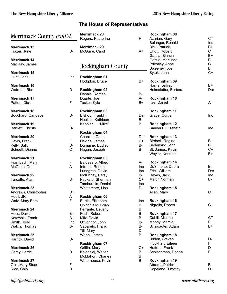| Merrimack County cont'd. |             | <b>Merrimack 28</b><br>Rogers, Katherine | $\mathsf F$ | Rockingham 08<br>Azarian, Gary | <b>CT</b>    |
|--------------------------|-------------|------------------------------------------|-------------|--------------------------------|--------------|
|                          |             |                                          |             | Belanger, Ronald               | Inc          |
| <b>Merrimack 13</b>      |             | <b>Merrimack 29</b>                      |             | Bick, Patrick                  | $B+$         |
| Frazer, June             | D-          | McGuire, Carol                           | $A+$        | Elliott, Robert                | $\mathsf{C}$ |
|                          |             |                                          |             | Garcia, Bianca                 | $B+$         |
| <b>Merrimack 14</b>      |             |                                          |             | Garcia, Marilinda              | B            |
| MacKay, James            | $\mathsf F$ | Rockingham County                        |             | Priestley, Anne                | ${\bf C}$    |
|                          |             |                                          |             | Sweeney, Joe                   | B            |
| <b>Merrimack 15</b>      |             |                                          |             | Sytek, John                    | $C+$         |
| Hunt, Jane               | Inc         | Rockingham 01                            |             |                                |              |
|                          |             | Hodgdon, Bruce                           | B+          | Rockingham 09                  |              |
| <b>Merrimack 16</b>      |             |                                          |             | Harris, Jeffrey                | B+           |
| Watrous, Rick            | D           | Rockingham 02                            |             | Helmstetter, Barbara           | Der          |
|                          |             | Danais, Romeo                            | B-          |                                |              |
| <b>Merrimack 17</b>      |             | Duarte, Joe                              | А-          | Rockingham 10                  |              |
| Patten, Dick             | $\mathsf F$ | Tasker, Kyle                             | B+          | Itse, Daniel                   | A            |
| <b>Merrimack 18</b>      |             |                                          |             | Rockingham 11                  |              |
|                          | D-          | Rockingham 03                            | Der         | Grace, Curtis                  | Inc          |
| Bouchard, Candace        |             | Bishop, Franklin<br>Hoelzel, Kathleen    | <b>B-</b>   |                                |              |
|                          |             |                                          | B           | Rockingham 12                  |              |
| <b>Merrimack 19</b>      |             | Kappler, L. "Mike"                       |             |                                |              |
| Bartlett, Christy        | D-          | Rockingham 04                            |             | Sanders, Elisabeth             | <b>Inc</b>   |
|                          |             |                                          |             |                                |              |
| <b>Merrimack 20</b>      |             | Charron, Gene                            | Der         | Rockingham 13                  |              |
| Davis, Frank             | F           | Devine, James                            | $C+$        | Birdsell, Regina               | B-           |
| Kelly, Sally             | D-          | Dumaine, Dudley                          | B-          | Sedensky, John                 | B<br>$C+$    |
| Schuett, Dianne          | <b>CT</b>   | Hagan, Joseph                            | B           | St. James, Kevin               |              |
|                          |             |                                          |             | Weyler, Kenneth                | $B+$         |
| <b>Merrimack 21</b>      |             | Rockingham 05                            |             |                                |              |
| Frambach, Mary           | F           | Baldasaro, Alfred                        | A-          | Rockingham 14                  |              |
| McGuire, Dan             | A           | Introne, Robert                          | Inc         | DeSimone, Debra                | <b>B-</b>    |
|                          |             | Lundgren, David                          | Inc         | Friel, William                 | Der          |
| <b>Merrimack 22</b>      |             | McKinney, Betsy                          | <b>B-</b>   | Hayes, Jack                    | Inc.         |
| Turcotte, Alan           | D-          | Packard, Sherman                         | $C+$        | Major, Norman                  | <b>B-</b>    |
|                          |             | Tamburello, Daniel                       | Inc         |                                |              |
| <b>Merrimack 23</b>      |             | Whittemore, Lisa                         | D-          | Rockingham 15                  |              |
| Andrews, Christopher     | D+          |                                          |             | Allen, Mary                    | $C+$         |
| Hoell, JR                | A           | Rockingham 06                            |             |                                |              |
| Walz, Mary Beth          | F           | Burtis, Elizabeth                        | Inc         | Rockingham 16                  |              |
|                          |             | Chirichiello, Brian                      | B           | Nigrello, Robert               | C+           |
| <b>Merrimack 24</b>      |             | Ferrante, Beverly                        | B           |                                |              |
| Hess, David              | <b>B-</b>   | Fesh, Robert                             | $B-$        | Rockingham 17                  |              |
| Kotowski, Frank          | <b>B-</b>   | Milz, David                              | B           | Cahill, Michael                | <b>CT</b>    |
| Smith, Todd              | Inc         | O'Connor, John                           | <b>B-</b>   | Moody, Marcia                  | F.           |
| Walch, Thomas            | <b>B-</b>   | Sapareto, Frank                          | <b>B-</b>   | Schroadter, Adam               | $B+$         |
|                          |             | Till, Mary                               | D-          |                                |              |
| <b>Merrimack 25</b>      |             | Webb, James                              | B           | Rockingham 18                  |              |
| Karrick, David           | D-          |                                          |             | Briden, Steven                 | D-           |
|                          |             | Rockingham 07                            |             | Flockhart, Eileen              | F            |
| <b>Merrimack 26</b>      |             | Griffin, Mary                            | $C+$        | Heffron, Frank                 | D            |
| Carey, Lorrie            | D           | Kolodziej, Walter                        | B           | Schlachman, Donna              | F            |
|                          |             | McMahon, Charles                         | $\sf B$     |                                |              |
| <b>Merrimack 27</b>      |             | Waterhouse, Kevin                        | B           | Rockingham 19                  |              |
| Gile, Mary Stuart        | F           |                                          |             | Abrami, Patrick                | B-           |
| Rice, Chip               | D           |                                          |             | Copeland, Timothy              | D+           |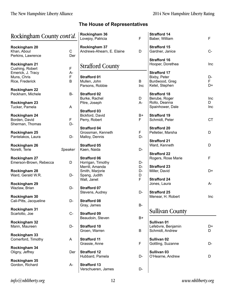| Rockingham County cont'd.                         |           | Rockingham 36<br>$\mathsf F$<br>Lovejoy, Patricia |           | <b>Strafford 14</b><br>Baber, William   | F         |
|---------------------------------------------------|-----------|---------------------------------------------------|-----------|-----------------------------------------|-----------|
| Rockingham 20<br>Khan, Aboul<br>Perkins, Lawrence | C<br>Der  | Rockingham 37<br>Andrews-Ahearn, E. Elaine        | D         | <b>Strafford 15</b><br>Gardner, Janice  | $C -$     |
| Rockingham 21                                     |           | <b>Strafford County</b>                           |           | <b>Strafford 16</b><br>Hooper, Dorethea | Inc       |
| Cushing, Robert                                   | F         |                                                   |           |                                         |           |
| Emerick, J. Tracy                                 | A-        |                                                   |           | <b>Strafford 17</b>                     |           |
| Muns, Chris<br>Rice, Frederick                    | F<br>B    | <b>Strafford 01</b><br>Mullen, John               | B         | Bixby, Peter<br>Burdwood, Greg          | D-<br>F.  |
|                                                   |           | Parsons, Robbie                                   | Inc       | Ketel, Stephen                          | D+        |
| Rockingham 22                                     |           |                                                   |           |                                         |           |
| Peckham, Michele                                  | <b>B-</b> | <b>Strafford 02</b>                               |           | <b>Strafford 18</b>                     |           |
|                                                   |           | Burke, Rachel                                     | D         | Berube, Roger                           | Inc       |
| Rockingham 23                                     |           | Pitre, Joseph                                     | $A -$     | Rollo, Deanna                           | D         |
| Tucker, Pamela                                    | A         |                                                   |           | Spainhower, Dale                        | Inc       |
|                                                   |           | <b>Strafford 03</b>                               |           |                                         |           |
| Rockingham 24                                     |           | Bickford, David                                   | B+        | <b>Strafford 19</b>                     |           |
| Borden, David                                     | F         | Perry, Robert                                     | F         | Schmidt, Peter                          | <b>CT</b> |
| Sherman, Thomas                                   | D-        |                                                   |           |                                         |           |
|                                                   |           | <b>Strafford 04</b>                               |           | <b>Strafford 20</b>                     |           |
| Rockingham 25                                     |           | Grossman, Kenneth                                 | F         | Pelletier, Marsha                       | D         |
| Pantelakos, Laura                                 | D-        | Malloy, Dennis                                    | D-        |                                         |           |
|                                                   |           |                                                   |           | <b>Strafford 21</b>                     |           |
| <b>Rockingham 26</b>                              |           | <b>Strafford 05</b>                               |           | Ward, Kenneth                           | D         |
| Norelli, Terie                                    | Speaker   | Kaen, Naida                                       | D-        |                                         |           |
|                                                   |           | <b>Strafford 06</b>                               |           | <b>Strafford 22</b>                     | F.        |
| Rockingham 27<br>Emerson-Brown, Rebecca           | D         | Horrigan, Timothy                                 | D-        | Rogers, Rose Marie                      |           |
|                                                   |           | Merrill, Amanda                                   | D-        | <b>Strafford 23</b>                     |           |
| Rockingham 28                                     |           | Smith, Marjorie                                   | D-        | Miller, David                           | D+        |
| Ward, Gerald W.R.                                 | D-        | Spang, Judith                                     | D         |                                         |           |
|                                                   |           | Wall, Janet                                       | F         | <b>Strafford 24</b>                     |           |
| Rockingham 29                                     |           |                                                   |           | Jones, Laura                            | $A -$     |
| Wazlaw, Brian                                     | D-        | <b>Strafford 07</b>                               |           |                                         |           |
|                                                   |           | Stevens, Audrey                                   | D-        | <b>Strafford 25</b>                     |           |
| Rockingham 30                                     |           |                                                   |           | Menear, H. Robert                       | Inc       |
| Cali-Pitts, Jacqueline                            | D-        | <b>Strafford 08</b>                               |           |                                         |           |
|                                                   |           | Gray, James                                       | <b>B-</b> |                                         |           |
| Rockingham 31                                     |           |                                                   |           | <b>Sullivan County</b>                  |           |
| Scarlotto, Joe                                    | $C -$     | <b>Strafford 09</b>                               |           |                                         |           |
|                                                   |           | Beaudoin, Steven                                  | B+        |                                         |           |
| Rockingham 32                                     |           |                                                   |           | Sullivan 01                             |           |
| Mann, Maureen                                     | D-        | <b>Strafford 10</b>                               |           | Lefebvre, Benjamin                      | D+        |
|                                                   |           | Groen, Warren                                     | B         | Schmidt, Andrew                         | D         |
| Rockingham 33<br>Comerford, Timothy               | A         | <b>Strafford 11</b>                               |           | Sullivan 02                             |           |
|                                                   |           | Grassie, Anne                                     | F         | Gottling, Suzanne                       | D-        |
| Rockingham 34                                     |           |                                                   |           |                                         |           |
| Oligny, Jeffrey                                   | Der       | <b>Strafford 12</b>                               |           | Sullivan 03                             |           |
|                                                   |           | Hubbard, Pamela                                   | D-        | O'Hearne, Andrew                        | D         |
| Rockingham 35                                     |           |                                                   |           |                                         |           |
| Gordon, Richard                                   | A-        | <b>Strafford 13</b>                               |           |                                         |           |
|                                                   |           | Verschueren, James                                | D-        |                                         |           |
|                                                   |           |                                                   |           |                                         |           |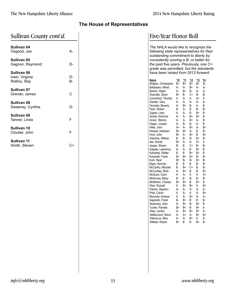| Sullivan County cont'd. |  |
|-------------------------|--|
|-------------------------|--|

| Sullivan 04<br>Osgood, Joe                      | А-              |
|-------------------------------------------------|-----------------|
| Sullivan 05<br>Gagnon, Raymond                  | D-              |
| Sullivan 06<br>Irwin, Virginia<br>Rollins, Skip | D-<br><b>B-</b> |
| Sullivan 07<br>Grenier, James                   | C               |
| Sullivan 08<br>Sweeney, Cynthia                 |                 |
| Sullivan 09<br>Tanner, Linda                    | F               |
| Sullivan 10<br>Cloutier, John                   | F               |
| Sullivan 11<br>Smith, Steven                    | C+              |

# Five-Year Honor Roll

The NHLA would like to recognize the following state representatives for their outstanding commitment to liberty by<br>consistently scoring a B- or better for the past five years. Previously, one C+ grade was permitted, but the standards have been raised from 2013 forward.

| <b>Name</b>                  | '10     | '11      | '12      | '13      | 14     |
|------------------------------|---------|----------|----------|----------|--------|
| Ahlgren, Christopher         | B+      | B+       | B+       | B+       | В-     |
| Baldasaro, Alfred            | А-      | А-       | B+       | А-       | А-     |
| Boehm, Ralph                 | А-      | B+       | B-       | A-       | А-     |
| Chandler, Gene               | B+      | B        | C+       | B-       | B-     |
| Comerford, Timothy           | A<br>А- | А-       | A        | $A+$     | A      |
| Daniels, Gary                | А-      | А-       | A-       | А-       | А-     |
| Ferrante, Beverly            |         | B+       | B-       | А-       | B      |
| Fesh, Robert                 | B       | А-       | B        | B-       | B-     |
| Gagne, Larry                 | A<br>А- | А-<br>А- | B        | B+       | B      |
| Gionet, Edmond               | А-      | А-       | B+<br>B+ | B+<br>А- | B<br>B |
| Groen, Warren                | А-      | B-       | B-       | А-       | B      |
| Hagan, Joseph<br>Hikel, John | A+      | А-       | B+       | А-       | B+     |
| Hoelzel, Kathleen            | B+      | B+       | А-       | B        | В-     |
| Hunt, John                   | B+      | А-       | B+       | B        | B+     |
| Infantine, William           | B       | B-       | B-       | B+       | B-     |
| Itse, Daniel                 | $B+$    | А-       | А-       | $A+$     | A      |
| Jasper, Shawn                | B-      | B        | C+       | B-       | B-     |
| Kappler, Lawrence            | A-      | А-       | B        | B+       | B      |
| Kolodziej, Walter            | B       | B        | B+       | B+       | B      |
| Kotowski, Frank              | B+      | B+       | B+       | B-       | B-     |
| Kurk, Neal                   | B+      | B-       | B-       | B+       | B-     |
| Major, Norman                | B       | B        | B        | B-       | B-     |
| McCarthy, Michael            | B       | $B+$     | C+       | B        | B-     |
| McConkey, Mark               | А-      | B+       | B        | B        | B+     |
| McGuire, Carol               | A       | A-       | A        | A        | A+     |
| McKinney, Betsy              | B       | B        | B-       | В-       | B-     |
| McMahon, Charles             | B+      | B+       | B        | B+       | B      |
| Ober, Russell                | A       | B+       | B+       | A        | B+     |
| Palmer, Stephen              | А-      | А-       | А-       | А-       | А-     |
| Pratt, Calvin                | A       | А-       | A        | A-       | $B+$   |
| Renzullo, Andrew             | A       | А-       | B+       | A-       | А-     |
| Sapareto, Frank              | B-      | B+       | B        | B        | B-     |
| Sedensky, John               | А-      | B+       | B-       | B+       | B      |
| Tucker, Pamela               | B+      | B+       | B        | B+       | Α      |
| Ulery, Jordan                | А-      | B+       | B+       | B+       | А-     |
| Vaillancourt, Steve          | А-      | A+       | А-       | B+       | B+     |
| Villeneuve, Moe              | А-      | А-       | B+       | A        | А-     |
| Willette, Robert             | B+      | B        | B        | B+       | B-     |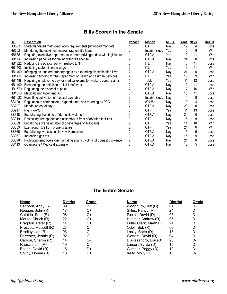# **Bills Scored in the Senate**

| <u>Bill</u>   | <b>Description</b>                                                        | <u>Impact</u> | <b>Motion</b> | <b>NHLA</b> | <u>Yeas</u> | <b>Nays</b> | <b>Result</b> |
|---------------|---------------------------------------------------------------------------|---------------|---------------|-------------|-------------|-------------|---------------|
| <b>HB533</b>  | State-mandated math graduation requirements (unfunded mandate)            |               | 0TP           | Nay         | 19          |             | Loss          |
| <b>HB562</b>  | Mandating the maximum interest rate on title loans                        |               | Interim Study | Yea         | 15          | 9           | Win           |
| <b>HB685</b>  | Requiring executive departments to share privileged data with legislature |               | OTP/A         | Yea         | 13          | 11          | Win           |
| HB1135        | Increasing penalties for driving without a license                        |               | OTP/A         | Nay         | 24          | 0           | Loss          |
| HB1322        | Reducing the political party threshold to 3%                              |               | ITL           | Nay         | 13          | 11          | Loss          |
| HB1403        | Instituting state minimum wage                                            |               | ITL           | Yea         | 13          | 11          | Win           |
| HB1409        | Infringing on landlord property rights by expanding discrimination laws   |               | OTP/A         | Nay         | 24          | 0           | Loss          |
| <b>HB1411</b> | Increasing funding for the Department of Health and Human Services        |               | ITL           | Yea         | 15          | 9           | Win           |
| HB1498        | Requiring employer to pay for medical exams for workers comp. claims      |               | Table         | Yea         | 11          | 12          | Loss          |
| HB1499        | Broadening the definition of "full-time" work                             |               | OTP/A         | Nay         | 12          | 11          | Loss          |
| HB1570        | Regulating the disposal of paint                                          |               | OTP/A         | Nav         |             | 16          | Win           |
| HB1613        | Medicaid enhancement tax                                                  |               | OTP/A         | Nay         | 13          | 11          | Loss          |
| HB1622        | Permitting cultivation of medical cannabis                                |               | Interim Study | Nay         | 14          | 9           | Loss          |
| SB120         | Regulation of contributions, expenditures, and reporting by PACs.         |               | #0425s        | Nay         | 19          | 4           | Loss          |
| <b>SB207</b>  | Mandating equal pay                                                       |               | OTP/A         | Nay         | 23          | 0           | Loss          |
| SB217         | Right-to-Work                                                             |               | 0TP           | Yea         | 11          | 13          | Loss          |
| SB318         | Establishing the crime of "domestic violence"                             |               | OTP/A         | Nay         | 24          | 0           | Loss          |
| SB319         | Restricting free speech and assembly in front of abortion facilities      |               | 0TP           | Nay         | 15          | 9           | Loss          |
| SB329         | Legalizing advertising alcoholic beverages on billboards                  |               | 0TP           | Yea         | 14          | 10          | Win           |
| SB333         | Exempting RVs from property taxes                                         |               | <b>OTP</b>    | Yea         | 24          | 0           | Win           |
| SB366         | Establishing two casinos in New Hampshire                                 |               | OTP/A         | Nay         | 15          | 9           | Loss          |
| SB367         | Increasing gas tax                                                        |               | OTP/A         | Nay         | 15          | 9           | Loss          |
| SB390         | Prohibiting employers discriminating against victims of domestic violence |               | OTP/A         | Nay         | 24          | 0           | Loss          |
| SB413         | Obamacare / Medicaid expansion                                            | 3             | OTP/A         | Nay         | 18          | 5           | Loss          |

#### **The Entire Senate**

| <b>Name</b>           | <b>District</b> | Grade | Name                     | <b>District</b>   | <b>Grade</b> |
|-----------------------|-----------------|-------|--------------------------|-------------------|--------------|
| Sanborn, Andy (R)     | 09              | B     | Woodburn, Jeff (D)       | 01                | D+           |
| Reagan, John (R)      | 17              | C+    | Stiles, Nancy (R)        | 24                | D            |
| Cataldo, Sam (R)      | 06              | C+    | Pierce, David (D)        | 05                | D            |
| Morse, Chuck (R)      | 22              | C+    | Hosmer, Andrew (D)       | 07                | D            |
| Bragdon, Peter (R)    | 11              | C+    | Fuller Clark, Martha (D) | 21                | D            |
| Prescott, Russell (R) | 23              | С     | Odell, Bob (R)           | 08                | D            |
| Bradley, Jeb (R)      | 03              | C-    | Lasky, Bette (D)         | 13                | D-           |
| Forrester, Jeanie (R) | 02              | C-    | Watters, David (D)       | 04                | D-           |
| Carson, Sharon (R)    | 14              | C-    | D'Allesandro, Lou (D)    | 20                | D-           |
| Rausch, Jim (R)       | 19              | $C-$  | Larsen, Sylvia (D)       | 15                | D-           |
| Boutin, David (R)     | 16              | D+    | Gilmour, Peggy (D)       | $12 \overline{ }$ | D-           |
| Soucy, Donna (D)      | 18              | D+    | Kelly, Molly (D)         | 10                | D-           |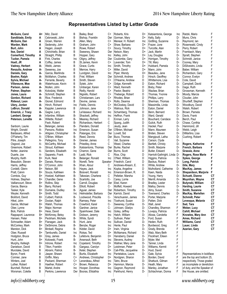R

B

B

R.

B

B

R

 $Inc$ 

<sub>B</sub>

B

R

R

B

В

 $\overline{B}$ 

B

<sub>R</sub>

 $\sf B$ 

 $\sf B$ 

B

R

B

**B-**

B-

 $R -$ 

 $B -$ 

 $B -$ 

 $R -$ 

B-

**B-**

B-

 $Inc$ 

 $B -$ 

 $B -$ 

B-

 $R_{-}$ 

**B-**

B-

 $R -$ 

 $B -$ 

 $B -$ 

B-

B-

 $B -$ 

B-

 $B -$ 

B-

**B-**

 $R -$ 

 $R -$ 

 $R_{-}$ 

 $B -$ 

 $B -$ 

 $B -$ 

B-

 $B -$ 

 $B -$ 

B-

 $C_{+}$ 

#### **Representatives Listed by Letter Grade**

Sandblade, Emily McGuire, Dan Warden, Mark Burt. John Itse, Daniel Comerford, Timothy Tucker, Pamela Hoell, JR Vadney, Herbert Renzullo, Andrew Daniels, Gary Boehm. Ralph Sylvia, Michael Villeneuve, Moe Parison, James Palmer, Stephen Jones, Laura Gordon, Richard **Rideout, Leon** Ulerv. Jordan LeBrun, Donald Emerick, J. Tracy Lambert, George Peterson, Lenette Sanborn, Laurie Wright, Donald Baldasaro, Alfred O'Flaherty, Tim Pitre, Joseph Osgood, Joe Greemore, Robert Notter, Jeanine Duarte, Joe Murphy, Keith Beaudoin, Steven Harris, Jeffrey Cordelli, Glenn Pratt, Calvin Comtois, Guy Holmes, Stephen Vaillancourt, Steve Garcia, Bianca Tasker, Kyle Weyler, Kenneth Bickford, David Hikel, John Garcia, Michael Ober, Lynne **Bick Patrick** Rappaport, Laurence Hansen, Peter Schroadter, Adam McConkey, Mark Marston, Dick Ober. Russell Hodgdon, Bruce Hunt, John

McGuire, Carol

A+ Milz. David Cebrowski, John A Groen, Warren A A Sedensky, John A Hagan, Joseph Α Chirichiello, Brian Straight, Phillip Α A Fink, Charles Coffey, James A Webb, James А-А-Sweeney, Joe  $\Delta$ -Garcia. Marilinda А-McMahon, Charles А-Ferrante, Beverly Waterhouse, Kevin А. А-Mullen, John А-Kolodziej, Walter А-Schmidt, Stephen А-Rice, Frederick А-Gionet. Edmond А-Hinch, Richard А. Kappler, Lawrence А-Gagne, Larry А-Infantine. William Willette, Robert А-Fesh, Robert А-Belanger, James Parsons, Robbie А-А-Ahlgren, Christopher O'Brien, William А- $A -$ Pellegrino, Tony McCarthy, Michael А-Stroud, Kathleen А-Sanders, Elisabeth  $A A -$ Sapareto, Frank  $B+$ Kurk, Neal Danais, Romeo B+ O'Connor, John  $R_{+}$  $R_{+}$ Nelson, Bill B+ Souza, Kathleen Hoelzel, Kathleen  $R_{+}$  $B+$ Chandler, Gene Rollins, Skip  $B+$ Barry, Richard  $B+$  $R_{+}$ Dumaine, Dudley Smith, Todd  $R_{+}$ Culbert. Patrick  $B+$ B+ Doolan, Ralph  $B+$ Walsh, Thomas Major, Norman  $B+$ Hess, David  $B+$ McKinney, Betsy  $R+$  $R_{+}$ Peckham, Michele Flanagan, Jack  $R_{+}$ DeSimone, Debra B+ Birdsell, Regina  $R+$ Tamburello, Daniel  $B+$  $B+$ Gray, James Kotowski, Frank R+ Introne, Robert  $R_{+}$ <sub>R</sub> Tilton, Franklin B Abrami, Patrick Jasper, Shawn B R Griffin, Mary B Packard, Sherman B Haefner, Robert B Martel, Andre B Perkins, Lawrence

Bailey, Brad Bishop, Franklin Allen, Mary Graham, John Rowe, Robert Sweeney, Shawn Hopper, Gary Oligny, Jeffrey St.James, Kevin Grace, Curtis Merrow, Harry Lundgren, David Friel. William Smith, Steven Sytek, John Umberger, Karen Reilly, Harold Nigrello, Robert Christiansen, Lars Devine, James Fields, Dennis Inc Johnson, Jane LeVasseur, Richard Shackett, Jeffrey Meaney, Richard Richardson, Herbert Flanders, Donald Emerson, Susan  $Inc$ Palangas, Eric Reed, Dennis Grenier, James Priestley, Anne Katsiantonis, Thomas Charron, Gene Ladd, Rick Belanger, Ronald Norelli, Terie Speaker Khan, Aboul Haves, Jack Boisvert, Ronald Takesian, Charlene Scarlotto, Joe Carroll, Douglas Elliott, Robert Aquiar, James Helmstetter, Barbara  $Inc$ Lockwood, Priscilla Ramsey, Peter Crawford, Karel Gardner, Janice Spainhower, Dale Dobson, Jeremy White, Syndi Hunt. Jane Berube, Roger Kidder, David Rokas, Ted  $Inc$ Lefebvre, Benjamin Arsenault, Beth Copeland, Timothy  $Inc$ Gargasz, Carolyn Ketel. Stephen Burtis, Elizabeth Andrews, Christopher  $C+$ Lerandeau. Alfred C+ Brown, Rebecca Inc Hooper, Dorothea Der Booras, Efstathia

 $C+$ Roberts, Kris Gorman, Marv Der Menear, H. Robert  $C+$ Shaw, Barbara  $C_{+}$ Soucy, Timothy  $C+$ Der Nelson, Mary Kelley, John Inc Coulombe, Gary Der  $C_{+}$ Lavender, Tom Smith, Timothy Inc  $C_{+}$ Miller, David Piper. Wendy  $Inc$ Der Schmidt, Andrew C+ O'Hearne, Andrew  $C+$ Gidge, Kenneth  $C+$ Ward, Kenneth Pastor, Beatriz  $C+$  $C+$ Theberge, Robert  $C+$ Rhodes, Brian  $C_{\pm}$ Rollo, Deanna McCloskey, David  $C+$  $C_{+}$ Watrous, Rick  $Inc$ Schamberg, Thomas  $Inc$ Heffron, Frank Enman, Larry C Spang, Judith  $\mathsf{C}$  $\mathsf{C}$ Jeudy, Jean O'Brien. Michael Der Der Lovett, Sid Buco, Thomas Der  $\mathsf{C}$ Vail, Suzanne C Weed, Charles Burke, Rachel Der Burns, Scott Der Rice, Chip  $\mathsf{C}$ O'Neil, William **Inc** Friedrich, Carol Andrews-Ahearn, E.  $\mathsf{C}$ Inc Kopka, Angeline Emerson-Brown, R. Inc Pelletier, Marsha  $\mathcal{C}$  $C -$ Carey, Lorrie Ebel. Karen Der Moffett, Howard  $C -$ Der Robertson, Timothy Karrick, David Der Verschueren, James  $C -$ Inc Ticehurst, Susan  $C -$ Sweeney, Cynthia  $C -$ Johnsen, Gladys Goley, Jeffrey  $Inc$ Hatch, William Inc  $C -$ Sullivan, Peter Sullivan, Daniel  $Inc$ Henle, Paul Inc Irwin, Virginia  $\n *D* +$ D+ McNamara, Richard D+ Hansberry, Daniel Stevens, Audrey Inc Wallner, Mary Jane  $D+$  $D+$ Leishman, Peter  $D+$ Cali-Pitts, Jacqueline Pantelakos, Laura Inc Nordgren, Sharon  $\n *D* +$ Inc Tatro. Bruce D+ Hammon, Marcia Gagnon, Raymond Inc Parkhurst, Henry Inc

 $\mathsf{D}$ + Katsiantonis, George D+ Kelly, Sally Gottling, Suzanne Inc Frazer June  $\n *D* +$ Turcotte, Alan D+ D+ Jack, Martin D+ Ley, Douglas Horrigan, Timothy  $D+$ Till, Mary  $D+$ Hubbard, Pamela D+  $D+$ Mann, John  $D+$ Beaulieu, Jane D. Hirsch. Geoffrev D Whittemore, Lisa Eaton, Richard D D Bixby, Peter D. Wazlaw, Brian D Thomas, Yvonne D Phillips, Larry D Sherman, Thomas Massimilla, Linda D D Eaton, Daniel D Benn, Bernard D Ward, Gerald Bouchard, Candace D Gulick, Ruth D D Hackel, Paul D. Mann. Maureen D Briden, Steven D Mangipudi, Latha D Carson, Clyde D Bartlett, Christy D Smith, Marjorie Butler, Edward D Harriott-Gathright, Lin D D Higgins, Patricia Backus, Robert D D. White, Andrew D Mulholland, Catherine D Kaen, Naida Young, Harry D D Merrill, Amanda D Bradley, Lester D Malloy, Dennis D-Almy, Susan Townsend, Charles  $D -$ D-Porter, Mariorie D-Patten, Dick D-Wall, Janet D-Chandley, Shannon Lovejoy, Patricia D-Alicea, Caroletta D-D-Ford, Susan Heden, Ruth  $D -$ Burdwood, Greg D-Grady, Brenda  $D -$ Walz, Mary Beth D-D-Flockhart, Eileen Myler, Mel D-Tanner, Linda D-D-Williams, Kermit D-Huot. David D-Gale, Sylvia D<sub>-</sub> Borden, David  $D -$ Shattuck, Gilman D-Heath, Mary D-Manley, Jonathan Schlachman, Donna  $D -$ 

| ıda | Inc<br>D-<br>D-<br>D-<br>D-<br>D-<br>D-<br>D-<br>D-<br>D-<br>D-<br>D-<br>D-<br>D-<br>D-<br>D-<br>D-<br>D-<br>D-<br>D-<br>D-<br>D-<br>D-<br>D-<br>D-<br>D-<br>D-<br>D-<br>D-<br>D- | Ratzki, Mario<br>Muns, Chris<br>Raymond, lan<br>Rosenwald, Cindy<br>Perry, Robert<br>Frambach, Mary<br>Spratt, Stephen<br>Schmidt, Janice<br>Cooney, Mary<br>DiSilvestro, Linda<br>Baber, William<br>Richardson, Gary<br>Connor, Evelyn<br>Cote, David<br>Campbell, David<br>Gage, Ruth<br>Grossman, Kenneth<br>Moody, Marcia<br>Cloutier, John<br>Shurtleff, Stephen<br>Woodbury, David<br>Walsh, Robert<br>Brown, Pamela<br>Davis, Frank<br>Berch, Paul<br>Chase, Cynthia<br>Hammond, Jill<br>Webb, Leigh<br>DiMartino, Lisa<br>Cushing, Robert | F<br>F<br>F<br>F<br>F<br>F<br>F<br>F<br>F<br>F<br>F<br>F<br>F<br>F<br>F<br>F<br>F<br>F<br>F<br>F<br>F<br>F<br>F<br>F<br>F<br>F<br>F<br>F<br>F<br>F |
|-----|-----------------------------------------------------------------------------------------------------------------------------------------------------------------------------------|---------------------------------------------------------------------------------------------------------------------------------------------------------------------------------------------------------------------------------------------------------------------------------------------------------------------------------------------------------------------------------------------------------------------------------------------------------------------------------------------------------------------------------------------------|----------------------------------------------------------------------------------------------------------------------------------------------------|
| €   | D-<br>D-<br>D-<br>D-<br>D-<br>D-<br>D-<br>D-<br>D-<br>D-<br>D-<br>D-<br>D-<br>D-<br>D-<br>D-<br>F<br>F<br>F<br>F<br>F<br>F<br>F<br>F<br>F<br>F<br>F<br>F<br>F                     | Rogers, Katherine<br>French, Barbara<br>Grassie, Anne<br>Rogers, Rose Marie<br>Sykes, George<br>Long, Patrick<br>Gile, Mary<br>MacKay, James<br>Shepardson, Marjorie<br>Schuett, Dianne<br>Moynihan, Wayne<br>Butynski, William<br>Harding, Laurie<br>Smith, Suzanne<br>MacKay, Mariellen<br>Schmidt, Peter<br>Levesque, Melanie<br>Sad, Tara<br>Weber, Lucy<br>Cahill, Michael<br>Knowles, Mary Ann<br>Ames, Richard<br>Williams, Carol<br>Lauer, Linda<br>Azarian, Gary                                                                         | F<br>F<br>F<br>F<br>F<br>F<br>F<br>F<br>F<br>C1<br>C1<br>C1<br>C1<br>C1<br>C1<br>C1<br>C1<br>C1<br>C1<br>C1<br>C1<br>C1<br>C1<br>C1<br>C1          |
|     | F<br>F<br>F<br>F<br>F<br>F<br>F<br>F                                                                                                                                              | Representatives in boldface<br>are the top and bottom 25,<br>respectively. Those graded<br>as incomplete or dereliction<br>of duty, and the Speaker of                                                                                                                                                                                                                                                                                                                                                                                            |                                                                                                                                                    |

 $info@nbliberty.org$ 

Murphy, Kelleigh

Danielson, David

Murotake, David

Byron, Frank

Cormier, Jane

Winters, Joel

Luther, Robert

Burchell, Richard

Worsman, Colette

the House, are omitted.

F